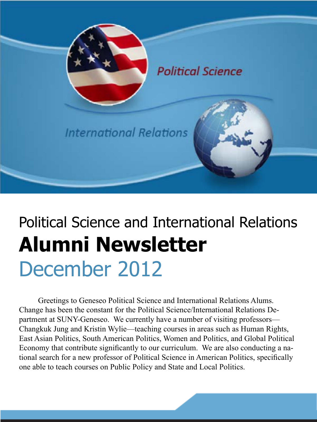

# Political Science and International Relations **Alumni Newsletter** December 2012

Greetings to Geneseo Political Science and International Relations Alums. Change has been the constant for the Political Science/International Relations Department at SUNY-Geneseo. We currently have a number of visiting professors— Changkuk Jung and Kristin Wylie—teaching courses in areas such as Human Rights, East Asian Politics, South American Politics, Women and Politics, and Global Political Economy that contribute significantly to our curriculum. We are also conducting a national search for a new professor of Political Science in American Politics, specifically one able to teach courses on Public Policy and State and Local Politics.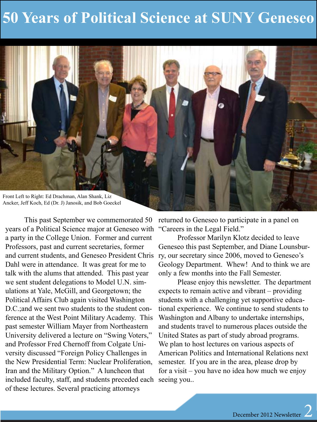### **50 Years of Political Science at SUNY Geneseo**



This past September we commemorated 50 years of a Political Science major at Geneseo with a party in the College Union. Former and current Professors, past and current secretaries, former and current students, and Geneseo President Chris ry, our secretary since 2006, moved to Geneseo's Dahl were in attendance. It was great for me to talk with the alums that attended. This past year we sent student delegations to Model U.N. simulations at Yale, McGill, and Georgetown; the Political Affairs Club again visited Washington D.C.;and we sent two students to the student conference at the West Point Military Academy. This past semester William Mayer from Northeastern University delivered a lecture on "Swing Voters," and Professor Fred Chernoff from Colgate University discussed "Foreign Policy Challenges in the New Presidential Term: Nuclear Proliferation, Iran and the Military Option." A luncheon that included faculty, staff, and students preceded each seeing you.. of these lectures. Several practicing attorneys

returned to Geneseo to participate in a panel on "Careers in the Legal Field."

Professor Marilyn Klotz decided to leave Geneseo this past September, and Diane Lounsbur-Geology Department. Whew! And to think we are only a few months into the Fall Semester.

Please enjoy this newsletter. The department expects to remain active and vibrant – providing students with a challenging yet supportive educational experience. We continue to send students to Washington and Albany to undertake internships, and students travel to numerous places outside the United States as part of study abroad programs. We plan to host lectures on various aspects of American Politics and International Relations next semester. If you are in the area, please drop by for a visit – you have no idea how much we enjoy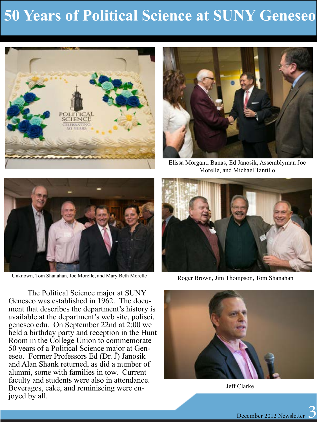### **50 Years of Political Science at SUNY Geneseo**





Elissa Morganti Banas, Ed Janosik, Assemblyman Joe Morelle, and Michael Tantillo



The Political Science major at SUNY Geneseo was established in 1962. The document that describes the department's history is available at the department's web site, polisci. geneseo.edu. On September 22nd at 2:00 we held a birthday party and reception in the Hunt Room in the College Union to commemorate 50 years of a Political Science major at Geneseo. Former Professors Ed (Dr. J) Janosik and Alan Shank returned, as did a number of alumni, some with families in tow. Current faculty and students were also in attendance. Beverages, cake, and reminiscing were en- joyed by all.



Unknown, Tom Shanahan, Joe Morelle, and Mary Beth Morelle Roger Brown, Jim Thompson, Tom Shanahan



Jeff Clarke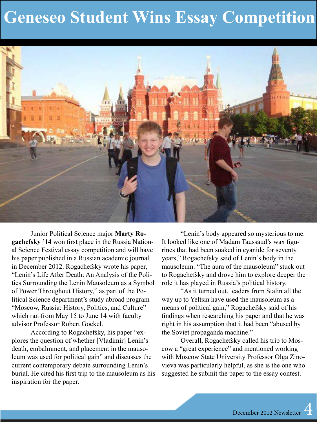### **Geneseo Student Wins Essay Competition**



Junior Political Science major **Marty Rogachefsky '14** won first place in the Russia National Science Festival essay competition and will have his paper published in a Russian academic journal in December 2012. Rogachefsky wrote his paper, "Lenin's Life After Death: An Analysis of the Politics Surrounding the Lenin Mausoleum as a Symbol of Power Throughout History," as part of the Political Science department's study abroad program "Moscow, Russia: History, Politics, and Culture" which ran from May 15 to June 14 with faculty advisor Professor Robert Goekel.

According to Rogachefsky, his paper "explores the question of whether [Vladimir] Lenin's death, embalmment, and placement in the mausoleum was used for political gain" and discusses the current contemporary debate surrounding Lenin's burial. He cited his first trip to the mausoleum as his inspiration for the paper.

"Lenin's body appeared so mysterious to me. It looked like one of Madam Taussaud's wax figurines that had been soaked in cyanide for seventy years," Rogachefsky said of Lenin's body in the mausoleum. "The aura of the mausoleum" stuck out to Rogachefsky and drove him to explore deeper the role it has played in Russia's political history.

"As it turned out, leaders from Stalin all the way up to Yeltsin have used the mausoleum as a means of political gain," Rogachefsky said of his findings when researching his paper and that he was right in his assumption that it had been "abused by the Soviet propaganda machine."

Overall, Rogachefsky called his trip to Moscow a "great experience" and mentioned working with Moscow State University Professor Olga Zinovieva was particularly helpful, as she is the one who suggested he submit the paper to the essay contest.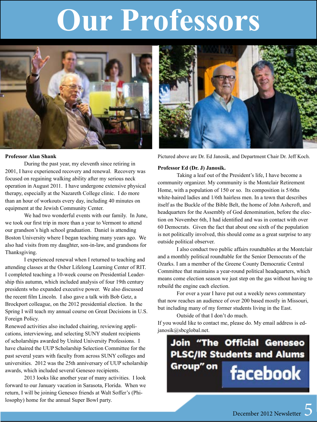# **Our Professors**



#### **Professor Alan Shank**

During the past year, my eleventh since retiring in 2001, I have experienced recovery and renewal. Recovery was focused on regaining walking ability after my serious neck operation in August 2011. I have undergone extensive physical therapy, especially at the Nazareth College clinic. I do more than an hour of workouts every day, including 40 minutes on equipment at the Jewish Community Center.

We had two wonderful events with our family. In June, we took our first trip in more than a year to Vermont to attend our grandson's high school graduation. Daniel is attending Boston University where I began teaching many years ago. We also had visits from my daughter, son-in-law, and grandsons for Thanksgiving.

I experienced renewal when I returned to teaching and attending classes at the Osher Lifelong Learning Center of RIT. I completed teaching a 10-week course on Presidential Leadership this autumn, which included analysis of four 19th century presidents who expanded executive power. We also discussed the recent film Lincoln. I also gave a talk with Bob Getz, a Brockport colleague, on the 2012 presidential election. In the Spring I will teach my annual course on Great Decisions in U.S. Foreign Policy.

Renewed activities also included chairing, reviewing applications, interviewing, and selecting SUNY student recipients of scholarships awarded by United University Professions. I have chaired the UUP Scholarship Selection Committee for the past several years with faculty from across SUNY colleges and universities. 2012 was the 25th anniversary of UUP scholarship awards, which included several Geneseo recipients.

2013 looks like another year of many activities. I look forward to our January vacation in Sarasota, Florida. When we return, I will be joining Geneseo friends at Walt Soffer's (Philosophy) home for the annual Super Bowl party.



Pictured above are Dr. Ed Janosik, and Department Chair Dr. Jeff Koch.

#### **Professor Ed (Dr. J) Janosik.**

Taking a leaf out of the President's life, I have become a community organizer. My community is the Montclair Retirement Home, with a population of 150 or so. Its composition is 5/6ths white-haired ladies and 1/6th hairless men. In a town that describes itself as the Buckle of the Bible Belt, the home of John Ashcroft, and headquarters for the Assembly of God denomination, before the election on November 6th, I had identified and was in contact with over 60 Democrats. Given the fact that about one sixth of the population is not politically involved, this should come as a great surprise to any outside political observer.

I also conduct two public affairs roundtables at the Montclair and a monthly political roundtable for the Senior Democrats of the Ozarks. I am a member of the Greene County Democratic Central Committee that maintains a year-round political headquarters, which means come election season we just step on the gas without having to rebuild the engine each election.

For over a year I have put out a weekly news commentary that now reaches an audience of over 200 based mostly in Missouri, but including many of my former students living in the East.

Outside of that I don't do much.

If you would like to contact me, please do. My email address is edjanosik@sbcglobal.net.

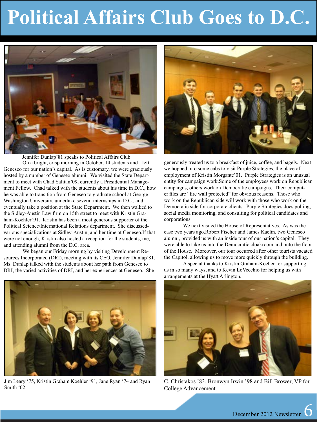# **Political Affairs Club Goes to D.C.**



On a bright, crisp morning in October, 14 students and I left Geneseo for our nation's capital. As is customary, we were graciously hosted by a number of Geneseo alumni. We visited the State Department to meet with Chad Salitan'09, currently a Presidential Management Fellow. Chad talked with the students about his time in D.C., how he was able to transition from Geneseo to graduate school at George Washington University, undertake several internships in D.C., and eventually take a position at the State Department. We then walked to the Sidley-Austin Law firm on 15th street to meet with Kristin Graham-Koehler'91. Kristin has been a most generous supporter of the Political Science/International Relations department. She discussedvarious specializations at Sidley-Austin, and her time at Geneseo.If that were not enough, Kristin also hosted a reception for the students, me, and attending alumni from the D.C. area. Jennifer Dunlap'81 speaks to Political Affairs Club

We began our Friday morning by visiting Development Resources Incorporated (DRI), meeting with its CEO, Jennifer Dunlap'81. Ms. Dunlap talked with the students about her path from Geneseo to DRI, the varied activities of DRI, and her experiences at Geneseo. She



generously treated us to a breakfast of juice, coffee, and bagels. Next we hopped into some cabs to visit Purple Strategies, the place of employment of Kristin Morgante'01. Purple Strategies is an unusual entity for campaign work.Some of the employees work on Republican campaigns, others work on Democratic campaigns. Their computer files are "fire wall protected" for obvious reasons. Those who work on the Republican side will work with those who work on the Democratic side for corporate clients. Purple Strategies does polling, social media monitoring, and consulting for political candidates and corporations.

We next visited the House of Representatives. As was the case two years ago,Robert Fischer and James Kaelin, two Geneseo alumni, provided us with an inside tour of our nation's capital. They were able to take us into the Democratic cloakroom and onto the floor of the House. Moreover, our tour occurred after other tourists vacated the Capitol, allowing us to move more quickly through the building.

A special thanks to Kristin Graham-Koeher for supporting us in so many ways, and to Kevin LoVecchio for helping us with arrangements at the Hyatt Arlington.



Jim Leary '75, Kristin Graham Koehler '91, Jane Ryan '74 and Ryan Smith '02



C. Christakos '83, Bronwyn Irwin '98 and Bill Brower, VP for College Advancement.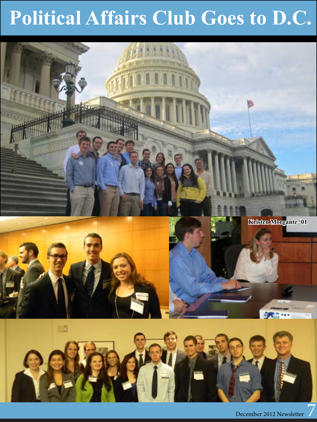# **Political Affairs Club Goes to D.C.**



December 2012 Newsletter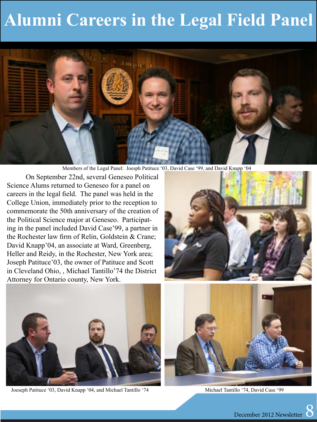## **Alumni Careers in the Legal Field Panel**



Members of the Legal Panel: Joesph Patituce '03, David Case '99, and David Knapp '04

On September 22nd, several Geneseo Political Science Alums returned to Geneseo for a panel on careers in the legal field. The panel was held in the College Union, immediately prior to the reception to commemorate the 50th anniversary of the creation of the Political Science major at Geneseo. Participating in the panel included David Case'99, a partner in the Rochester law firm of Relin, Goldstein & Crane; David Knapp'04, an associate at Ward, Greenberg, Heller and Reidy, in the Rochester, New York area; Joseph Patituce'03, the owner of Patituce and Scott in Cleveland Ohio, , Michael Tantillo'74 the District Attorney for Ontario county, New York.





Joeseph Patituce '03, David Knapp '04, and Michael Tantillo '74 Michael Tantillo '74, David Case '99

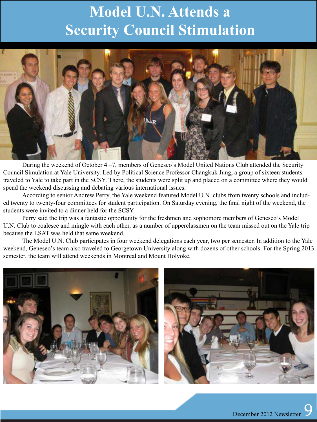#### **Model U.N. Attends a Security Council Stimulation**



During the weekend of October 4 –7, members of Geneseo's Model United Nations Club attended the Security Council Simulation at Yale University. Led by Political Science Professor Changkuk Jung, a group of sixteen students traveled to Yale to take part in the SCSY. There, the students were split up and placed on a committee where they would spend the weekend discussing and debating various international issues.

According to senior Andrew Perry, the Yale weekend featured Model U.N. clubs from twenty schools and included twenty to twenty-four committees for student participation. On Saturday evening, the final night of the weekend, the students were invited to a dinner held for the SCSY.

Perry said the trip was a fantastic opportunity for the freshmen and sophomore members of Geneseo's Model U.N. Club to coalesce and mingle with each other, as a number of upperclassmen on the team missed out on the Yale trip because the LSAT was held that same weekend.

The Model U.N. Club participates in four weekend delegations each year, two per semester. In addition to the Yale weekend, Geneseo's team also traveled to Georgetown University along with dozens of other schools. For the Spring 2013 semester, the team will attend weekends in Montreal and Mount Holyoke.



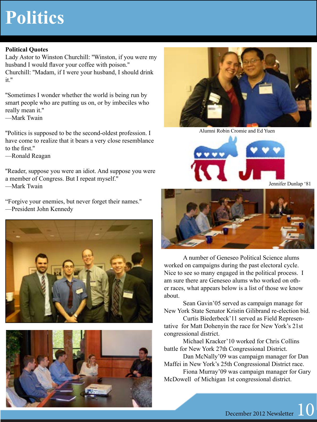## **Politics**

#### **Political Quotes**

Lady Astor to Winston Churchill: ''Winston, if you were my husband I would flavor your coffee with poison.'' Churchill: ''Madam, if I were your husband, I should drink it.''

''Sometimes I wonder whether the world is being run by smart people who are putting us on, or by imbeciles who really mean it.''

—Mark Twain

''Politics is supposed to be the second-oldest profession. I have come to realize that it bears a very close resemblance to the first.''

—Ronald Reagan

''Reader, suppose you were an idiot. And suppose you were a member of Congress. But I repeat myself.''

—Mark Twain

"Forgive your enemies, but never forget their names.'' —President John Kennedy







Alumni Robin Cromie and Ed Yuen



Jennifer Dunlap '81



A number of Geneseo Political Science alums worked on campaigns during the past electoral cycle. Nice to see so many engaged in the political process. I am sure there are Geneseo alums who worked on other races, what appears below is a list of those we know about.

Sean Gavin'05 served as campaign manage for New York State Senator Kristin Gilibrand re-election bid.

Curtis Biederbeck'11 served as Field Representative for Matt Dohenyin the race for New York's 21st congressional district.

Michael Kracker'10 worked for Chris Collins battle for New York 27th Congressional District.

Dan McNally'09 was campaign manager for Dan Maffei in New York's 25th Congressional District race.

Fiona Murray'09 was campaign manager for Gary McDowell of Michigan 1st congressional district.

December 2012 Newsletter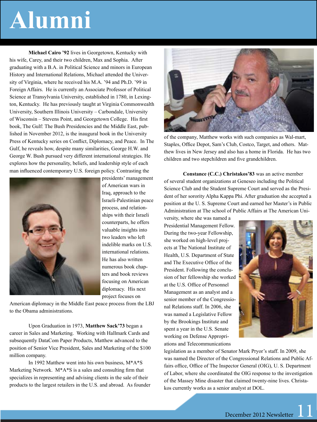# **Alumni**

**Michael Cairo '92** lives in Georgetown, Kentucky with his wife, Carey, and their two children, Max and Sophia. After graduating with a B.A. in Political Science and minors in European History and International Relations, Michael attended the University of Virginia, where he received his M.A. '94 and Ph.D. '99 in Foreign Affairs. He is currently an Associate Professor of Political Science at Transylvania University, established in 1780, in Lexington, Kentucky. He has previously taught at Virginia Commonwealth University, Southern Illinois University – Carbondale, University of Wisconsin – Stevens Point, and Georgetown College. His first book, The Gulf: The Bush Presidencies and the Middle East, published in November 2012, is the inaugural book in the University Press of Kentucky series on Conflict, Diplomacy, and Peace. In The Gulf, he reveals how, despite many similarities, George H.W. and George W. Bush pursued very different international strategies. He explores how the personality, beliefs, and leadership style of each man influenced contemporary U.S. foreign policy. Contrasting the



presidents' management of American wars in Iraq, approach to the Israeli-Palestinian peace process, and relationships with their Israeli counterparts, he offers valuable insights into two leaders who left indelible marks on U.S. international relations. He has also written numerous book chapters and book reviews focusing on American diplomacy. His next project focuses on

American diplomacy in the Middle East peace process from the LBJ to the Obama administrations.

Upon Graduation in 1973, **Matthew Sack'73** began a career in Sales and Marketing. Working with Hallmark Cards and subsequently DataCom Paper Products, Matthew advanced to the position of Senior Vice President, Sales and Marketing of the \$100 million company.

In 1992 Matthew went into his own business, M\*A\*S Marketing Network. M\*A\*S is a sales and consulting firm that specializes in representing and advising clients in the sale of their products to the largest retailers in the U.S. and abroad. As founder



of the company, Matthew works with such companies as Wal-mart, Staples, Office Depot, Sam's Club, Costco, Target, and others. Matthew lives in New Jersey and also has a home in Florida. He has two children and two stepchildren and five grandchildren.

**Constance (C.C.) Christakos'83** was an active member of several student organizations at Geneseo including the Political Science Club and the Student Supreme Court and served as the President of her sorority Alpha Kappa Phi. After graduation she accepted a position at the U. S. Supreme Court and earned her Master's in Public Administration at The school of Public Affairs at The American Uni-

versity, where she was named a Presidential Management Fellow. During the two-year Fellowship, she worked on high-level projects at The National Institute of Health, U.S. Department of State and The Executive Office of the President. Following the conclusion of her fellowship she worked at the U.S. Office of Personnel Management as an analyst and a senior member of the Congressional Relations staff. In 2006, she was named a Legislative Fellow by the Brookings Institute and spent a year in the U.S. Senate working on Defense Appropriations and Telecommunications



legislation as a member of Senator Mark Pryor's staff. In 2009, she was named the Director of the Congressional Relations and Public Affairs office, Office of The Inspector General (OIG), U. S. Department of Labor, where she coordinated the OIG response to the investigation of the Massey Mine disaster that claimed twenty-nine lives. Christakos currently works as a senior analyst at DOL.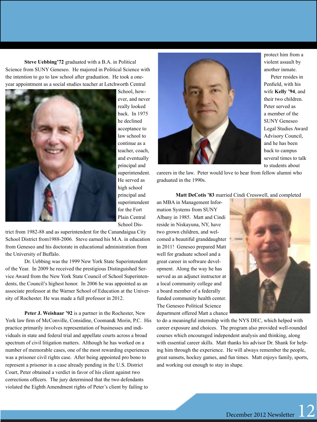**Steve Uebbing'72** graduated with a B.A. in Political Science from SUNY Geneseo. He majored in Political Science with the intention to go to law school after graduation. He took a oneyear appointment as a social studies teacher at Letchworth Central



ever, and never really looked back. In 1975 he declined acceptance to law school to continue as a teacher, coach, and eventually principal and superintendent. He served as high school principal and superintendent for the Fort Plain Central School Dis-

trict from 1982-88 and as superintendent for the Canandaigua City School District from1988-2006. Steve earned his M.A. in education from Geneseo and his doctorate in educational administration from the University of Buffalo.

Dr. Uebbing was the 1999 New York State Superintendent of the Year. In 2009 he received the prestigious Distinguished Service Award from the New York State Council of School Superintendents, the Council's highest honor. In 2006 he was appointed as an associate professor at the Warner School of Education at the University of Rochester. He was made a full professor in 2012.

**Peter J. Weishaar '92** is a partner in the Rochester, New York law firm of McConville, Considine, Cooman& Morin, P.C. His practice primarily involves representation of businesses and individuals in state and federal trial and appellate courts across a broad spectrum of civil litigation matters. Although he has worked on a number of memorable cases, one of the most rewarding experiences was a prisoner civil rights case. After being appointed pro bono to represent a prisoner in a case already pending in the U.S. District Court, Peter obtained a verdict in favor of his client against two corrections officers. The jury determined that the two defendants violated the Eighth Amendment rights of Peter's client by failing to



protect him from a violent assault by another inmate.

Peter resides in Penfield, with his wife **Kelly '94**, and their two children. Peter served as a member of the SUNY Geneseo Legal Studies Award Advisory Council, and he has been back to campus several times to talk to students about

careers in the law. Peter would love to hear from fellow alumni who graduated in the 1990s.

#### **Matt DeCotis '83** married Cindi Cresswell, and completed

an MBA in Management Information Systems from SUNY Albany in 1985. Matt and Cindi reside in Niskayuna, NY, have two grown children, and welcomed a beautiful granddaughter in 2011! Geneseo prepared Matt well for graduate school and a great career in software development. Along the way he has served as an adjunct instructor at a local community college and a board member of a federally funded community health center. The Geneseo Political Science department offered Matt a chance



to do a meaningful internship with the NYS DEC, which helped with career exposure and choices. The program also provided well-rounded courses which encouraged independent analysis and thinking, along with essential career skills. Matt thanks his advisor Dr. Shank for helping him through the experience. He will always remember the people, great sunsets, hockey games, and fun times. Matt enjoys family, sports, and working out enough to stay in shape.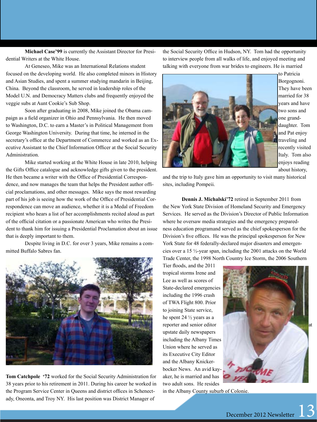**Michael Case'99** is currently the Assistant Director for Presidential Writers at the White House.

At Geneseo, Mike was an International Relations student focused on the developing world. He also completed minors in History and Asian Studies, and spent a summer studying mandarin in Beijing, China. Beyond the classroom, he served in leadership roles of the Model U.N. and Democracy Matters clubs and frequently enjoyed the veggie subs at Aunt Cookie's Sub Shop.

Soon after graduating in 2008, Mike joined the Obama campaign as a field organizer in Ohio and Pennsylvania. He then moved to Washington, D.C. to earn a Master's in Political Management from George Washington University. During that time, he interned in the secretary's office at the Department of Commerce and worked as an Executive Assistant to the Chief Information Officer at the Social Security Administration.

Mike started working at the White House in late 2010, helping the Gifts Office catalogue and acknowledge gifts given to the president. He then became a writer with the Office of Presidential Correspondence, and now manages the team that helps the President author official proclamations, and other messages. Mike says the most rewarding part of his job is seeing how the work of the Office of Presidential Correspondence can move an audience, whether it is a Medal of Freedom recipient who hears a list of her accomplishments recited aloud as part of the official citation or a passionate American who writes the President to thank him for issuing a Presidential Proclamation about an issue that is deeply important to them.

Despite living in D.C. for over 3 years, Mike remains a committed Buffalo Sabres fan.



**Tom Catchpole '72** worked for the Social Security Administration for 38 years prior to his retirement in 2011. During his career he worked in the Program Service Center in Queens and district offices in Schenectady, Oneonta, and Troy NY. His last position was District Manager of

the Social Security Office in Hudson, NY. Tom had the opportunity to interview people from all walks of life, and enjoyed meeting and talking with everyone from war brides to engineers. He is married



to Patricia Borgognoni. They have been married for 38 years and have two sons and one granddaughter. Tom and Pat enjoy traveling and recently visited Italy. Tom also enjoys reading about history,

and the trip to Italy gave him an opportunity to visit many historical sites, including Pompeii.

**Dennis J. Michalski'72** retired in September 2011 from the New York State Division of Homeland Security and Emergency Services. He served as the Division's Director of Public Information where he oversaw media strategies and the emergency preparedness education programand served as the chief spokesperson for the Division's five offices. He was the principal spokesperson for New York State for 48 federally-declared major disasters and emergencies over a 15 ½-year span, including the 2001 attacks on the World Trade Center, the 1998 North Country Ice Storm, the 2006 Southern

Tier floods, and the 2011 tropical storms Irene and Lee as well as scores of State-declared emergencies including the 1996 crash of TWA Flight 800. Prior to joining State service, he spent 24 ½ years as a reporter and senior editor upstate daily newspapers including the Albany Times Union where he served as its Executive City Editor and the Albany Knickerbocker News. An avid kayaker, he is married and has two adult sons. He resides



in the Albany County suburb of Colonie.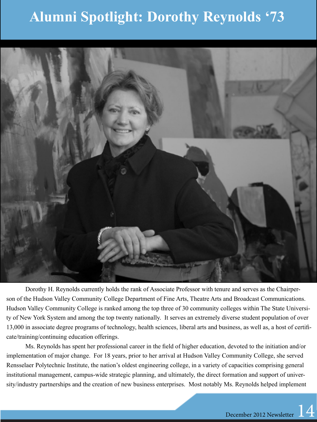#### **Alumni Spotlight: Dorothy Reynolds '73**



Dorothy H. Reynolds currently holds the rank of Associate Professor with tenure and serves as the Chairperson of the Hudson Valley Community College Department of Fine Arts, Theatre Arts and Broadcast Communications. Hudson Valley Community College is ranked among the top three of 30 community colleges within The State University of New York System and among the top twenty nationally. It serves an extremely diverse student population of over 13,000 in associate degree programs of technology, health sciences, liberal arts and business, as well as, a host of certificate/training/continuing education offerings.

Ms. Reynolds has spent her professional career in the field of higher education, devoted to the initiation and/or implementation of major change. For 18 years, prior to her arrival at Hudson Valley Community College, she served Rensselaer Polytechnic Institute, the nation's oldest engineering college, in a variety of capacities comprising general institutional management, campus-wide strategic planning, and ultimately, the direct formation and support of university/industry partnerships and the creation of new business enterprises. Most notably Ms. Reynolds helped implement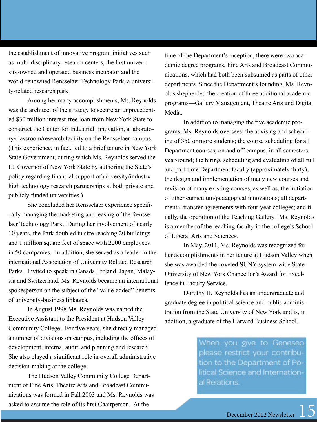the establishment of innovative program initiatives such as multi-disciplinary research centers, the first university-owned and operated business incubator and the world-renowned Rensselaer Technology Park, a university-related research park.

Among her many accomplishments, Ms. Reynolds was the architect of the strategy to secure an unprecedented \$30 million interest-free loan from New York State to construct the Center for Industrial Innovation, a laboratory/classroom/research facility on the Rensselaer campus. (This experience, in fact, led to a brief tenure in New York State Government, during which Ms. Reynolds served the Lt. Governor of New York State by authoring the State's policy regarding financial support of university/industry high technology research partnerships at both private and publicly funded universities.)

She concluded her Rensselaer experience specifically managing the marketing and leasing of the Rensselaer Technology Park. During her involvement of nearly 10 years, the Park doubled in size reaching 20 buildings and 1 million square feet of space with 2200 employees in 50 companies. In addition, she served as a leader in the international Association of University Related Research Parks. Invited to speak in Canada, Ireland, Japan, Malaysia and Switzerland, Ms. Reynolds became an international spokesperson on the subject of the "value-added" benefits of university-business linkages.

In August 1998 Ms. Reynolds was named the Executive Assistant to the President at Hudson Valley Community College. For five years, she directly managed a number of divisions on campus, including the offices of development, internal audit, and planning and research. She also played a significant role in overall administrative decision-making at the college.

The Hudson Valley Community College Department of Fine Arts, Theatre Arts and Broadcast Communications was formed in Fall 2003 and Ms. Reynolds was asked to assume the role of its first Chairperson. At the

time of the Department's inception, there were two academic degree programs, Fine Arts and Broadcast Communications, which had both been subsumed as parts of other departments. Since the Department's founding, Ms. Reynolds shepherded the creation of three additional academic programs—Gallery Management, Theatre Arts and Digital Media.

In addition to managing the five academic programs, Ms. Reynolds oversees: the advising and scheduling of 350 or more students; the course scheduling for all Department courses, on and off-campus, in all semesters year-round; the hiring, scheduling and evaluating of all full and part-time Department faculty (approximately thirty); the design and implementation of many new courses and revision of many existing courses, as well as, the initiation of other curriculum/pedagogical innovations; all departmental transfer agreements with four-year colleges; and finally, the operation of the Teaching Gallery. Ms. Reynolds is a member of the teaching faculty in the college's School of Liberal Arts and Sciences.

In May, 2011, Ms. Reynolds was recognized for her accomplishments in her tenure at Hudson Valley when she was awarded the coveted SUNY system-wide State University of New York Chancellor's Award for Excellence in Faculty Service.

Dorothy H. Reynolds has an undergraduate and graduate degree in political science and public administration from the State University of New York and is, in addition, a graduate of the Harvard Business School.

> When you give to Geneseo please restrict your contribution to the Department of Political Science and International Relations.